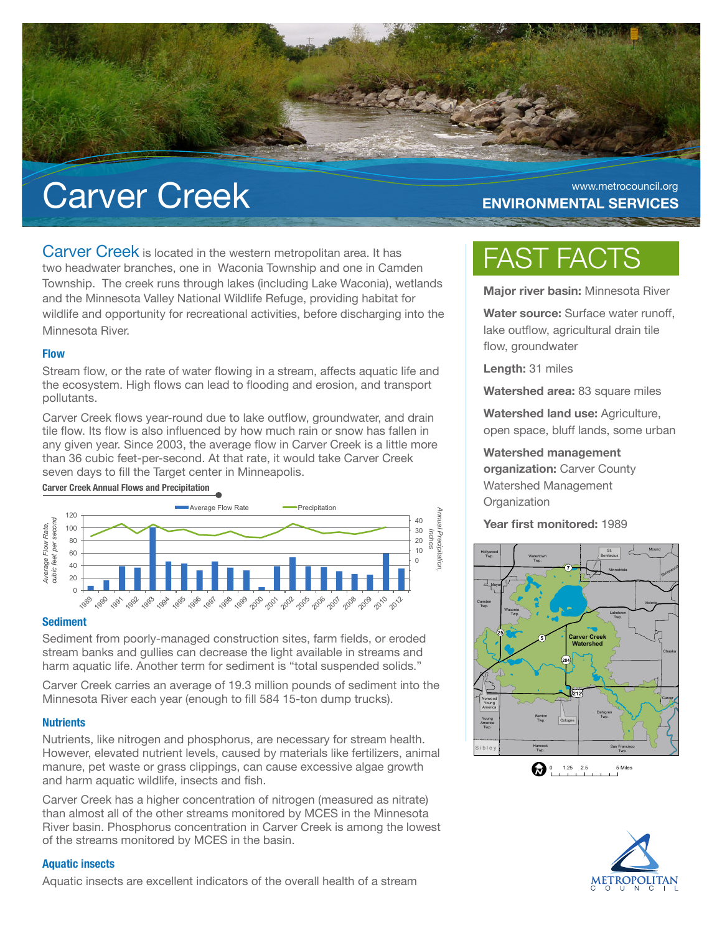

# Carver Creek ENVIRONMENTAL SERVICES

# **ENVIRONMENTAL SERVICES**

Carver Creek is located in the western metropolitan area. It has two headwater branches, one in Waconia Township and one in Camden Township. The creek runs through lakes (including Lake Waconia), wetlands and the Minnesota Valley National Wildlife Refuge, providing habitat for wildlife and opportunity for recreational activities, before discharging into the Minnesota River.

### **Flow**

Stream flow, or the rate of water flowing in a stream, affects aquatic life and the ecosystem. High flows can lead to flooding and erosion, and transport pollutants.

Carver Creek flows year-round due to lake outflow, groundwater, and drain tile flow. Its flow is also influenced by how much rain or snow has fallen in any given year. Since 2003, the average flow in Carver Creek is a little more than 36 cubic feet-per-second. At that rate, it would take Carver Creek seven days to fill the Target center in Minneapolis.

### **Carver Creek Annual Flows and Precipitation**



### **Sediment**

Sediment from poorly-managed construction sites, farm fields, or eroded stream banks and gullies can decrease the light available in streams and harm aquatic life. Another term for sediment is "total suspended solids."

Carver Creek carries an average of 19.3 million pounds of sediment into the Minnesota River each year (enough to fill 584 15-ton dump trucks).

### **Nutrients**

Nutrients, like nitrogen and phosphorus, are necessary for stream health. However, elevated nutrient levels, caused by materials like fertilizers, animal manure, pet waste or grass clippings, can cause excessive algae growth and harm aquatic wildlife, insects and fish.

Carver Creek has a higher concentration of nitrogen (measured as nitrate) than almost all of the other streams monitored by MCES in the Minnesota River basin. Phosphorus concentration in Carver Creek is among the lowest of the streams monitored by MCES in the basin.

### **Aquatic insects**

Aquatic insects are excellent indicators of the overall health of a stream

# FAST FACTS

**Major river basin:** Minnesota River

**Water source:** Surface water runoff, lake outflow, agricultural drain tile flow, groundwater

**Length:** 31 miles

**Watershed area:** 83 square miles

**Watershed land use:** Agriculture, open space, bluff lands, some urban

**Watershed management organization:** Carver County Watershed Management **Organization** 

**Year first monitored:** 1989